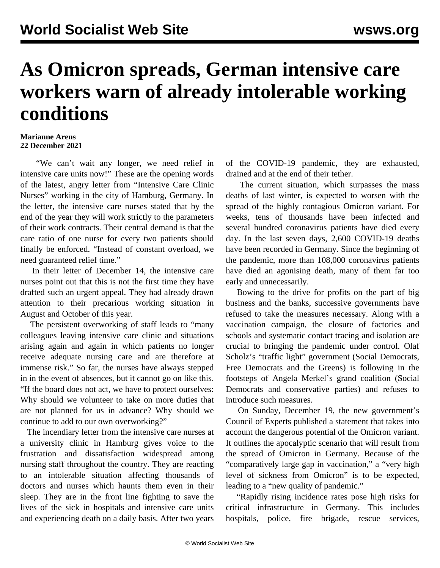## **As Omicron spreads, German intensive care workers warn of already intolerable working conditions**

## **Marianne Arens 22 December 2021**

 "We can't wait any longer, we need relief in intensive care units now!" These are the opening words of the latest, angry letter from "Intensive Care Clinic Nurses" working in the city of Hamburg, Germany. In the letter, the intensive care nurses stated that by the end of the year they will work strictly to the parameters of their work contracts. Their central demand is that the care ratio of one nurse for every two patients should finally be enforced. "Instead of constant overload, we need guaranteed relief time."

 In their letter of December 14, the intensive care nurses point out that this is not the first time they have drafted such an urgent appeal. They had already drawn attention to their precarious working situation in August and October of this year.

 The persistent overworking of staff leads to "many colleagues leaving intensive care clinic and situations arising again and again in which patients no longer receive adequate nursing care and are therefore at immense risk." So far, the nurses have always stepped in in the event of absences, but it cannot go on like this. "If the board does not act, we have to protect ourselves: Why should we volunteer to take on more duties that are not planned for us in advance? Why should we continue to add to our own overworking?"

 The incendiary letter from the intensive care nurses at a university clinic in Hamburg gives voice to the frustration and dissatisfaction widespread among nursing staff throughout the country. They are reacting to an intolerable situation affecting thousands of doctors and nurses which haunts them even in their sleep. They are in the front line fighting to save the lives of the sick in hospitals and intensive care units and experiencing death on a daily basis. After two years

of the COVID-19 pandemic, they are exhausted, drained and at the end of their tether.

 The current situation, which surpasses the mass deaths of last winter, is expected to worsen with the spread of the highly contagious Omicron variant. For weeks, tens of thousands have been infected and several hundred coronavirus patients have died every day. In the last seven days, 2,600 COVID-19 deaths have been recorded in Germany. Since the beginning of the pandemic, more than 108,000 coronavirus patients have died an agonising death, many of them far too early and unnecessarily.

 Bowing to the drive for profits on the part of big business and the banks, successive governments have refused to take the measures necessary. Along with a vaccination campaign, the closure of factories and schools and systematic contact tracing and isolation are crucial to bringing the pandemic under control. Olaf Scholz's "traffic light" government (Social Democrats, Free Democrats and the Greens) is following in the footsteps of Angela Merkel's grand coalition (Social Democrats and conservative parties) and refuses to introduce such measures.

 On Sunday, December 19, the new government's Council of Experts published a statement that takes into account the dangerous potential of the Omicron variant. It outlines the apocalyptic scenario that will result from the spread of Omicron in Germany. Because of the "comparatively large gap in vaccination," a "very high level of sickness from Omicron" is to be expected, leading to a "new quality of pandemic."

 "Rapidly rising incidence rates pose high risks for critical infrastructure in Germany. This includes hospitals, police, fire brigade, rescue services,